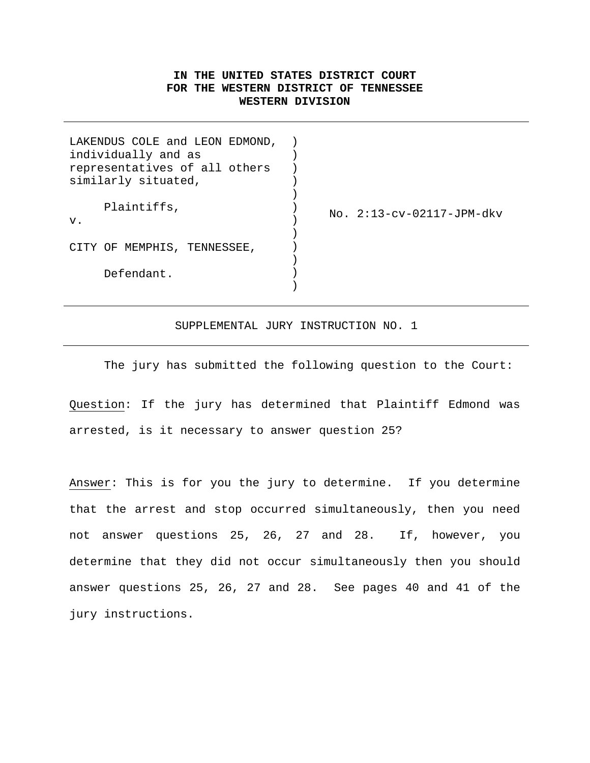## **IN THE UNITED STATES DISTRICT COURT FOR THE WESTERN DISTRICT OF TENNESSEE WESTERN DIVISION**

| $No. 2:13-cv-02117-JPM-dkv$ |
|-----------------------------|
|                             |
|                             |
|                             |
|                             |
|                             |
|                             |
|                             |

SUPPLEMENTAL JURY INSTRUCTION NO. 1

The jury has submitted the following question to the Court:

Question: If the jury has determined that Plaintiff Edmond was arrested, is it necessary to answer question 25?

Answer: This is for you the jury to determine. If you determine that the arrest and stop occurred simultaneously, then you need not answer questions 25, 26, 27 and 28. If, however, you determine that they did not occur simultaneously then you should answer questions 25, 26, 27 and 28. See pages 40 and 41 of the jury instructions.